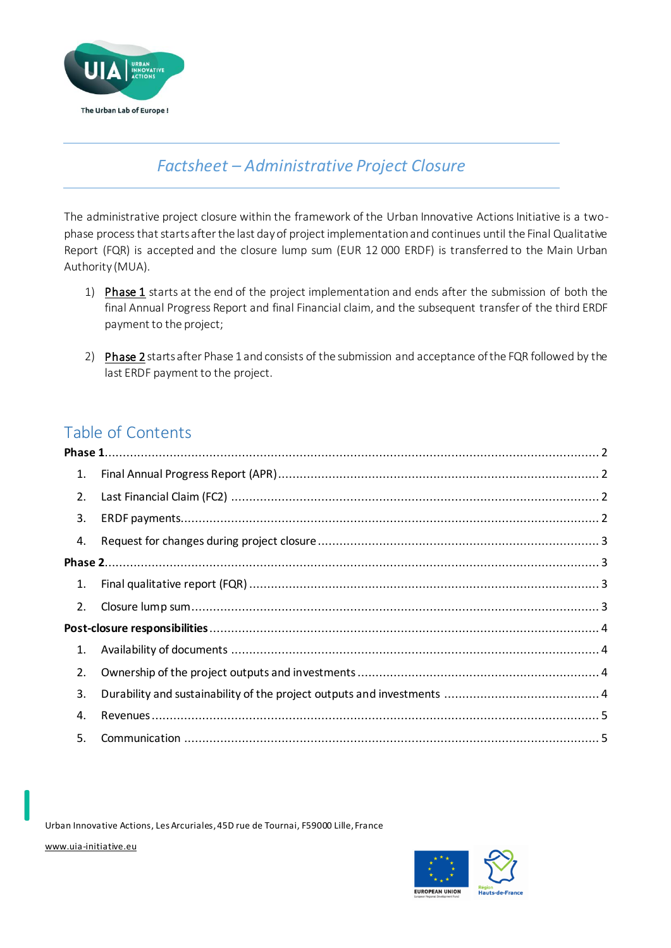

# *Factsheet – Administrative Project Closure*

The administrative project closure within the framework of the Urban Innovative Actions Initiative is a twophase process that starts after the last day of project implementation and continues until the Final Qualitative Report (FQR) is accepted and the closure lump sum (EUR 12 000 ERDF) is transferred to the Main Urban Authority (MUA).

- 1) Phase 1 starts at the end of the project implementation and ends after the submission of both the final Annual Progress Report and final Financial claim, and the subsequent transfer of the third ERDF payment to the project;
- 2) Phase 2 starts after Phase 1 and consists of the submission and acceptance of the FQR followed by the last ERDF payment to the project.

## Table of Contents

| 1. |  |
|----|--|
| 2. |  |
| 3. |  |
| 4. |  |
|    |  |
| 1. |  |
| 2. |  |
|    |  |
| 1. |  |
| 2. |  |
| 3. |  |
| 4. |  |
| 5. |  |

Urban Innovative Actions, Les Arcuriales, 45D rue de Tournai, F59000 Lille, France

[www.uia-initiative.eu](http://www.uia-initiative.eu/)

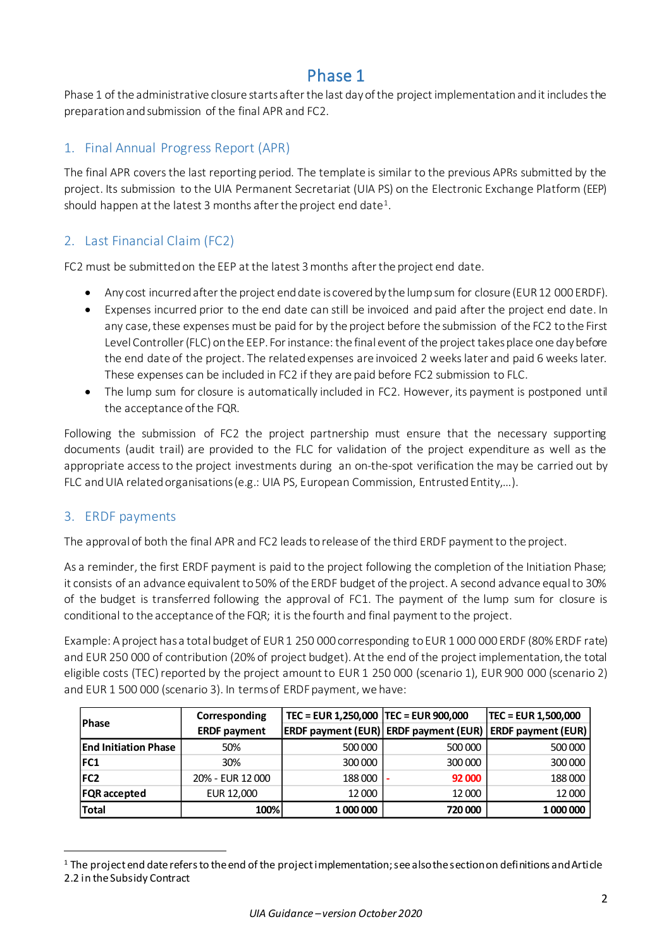## Phase 1

<span id="page-1-0"></span>Phase 1 of the administrative closure starts after the last day of the project implementation and it includes the preparation and submission of the final APR and FC2.

### <span id="page-1-1"></span>1. Final Annual Progress Report (APR)

The final APR covers the last reporting period. The template is similar to the previous APRs submitted by the project. Its submission to the UIA Permanent Secretariat (UIA PS) on the Electronic Exchange Platform (EEP) should happen at the latest 3 months after the project end date<sup>1</sup>.

### <span id="page-1-2"></span>2. Last Financial Claim (FC2)

FC2 must be submitted on the EEP at the latest 3 months after the project end date.

- Any cost incurred after the project end date is covered by the lump sum for closure (EUR 12 000 ERDF).
- Expenses incurred prior to the end date can still be invoiced and paid after the project end date. In any case,these expenses must be paid for by the project before the submission of the FC2 to the First Level Controller (FLC) on the EEP. For instance: the final event of the project takes place one day before the end date of the project. The related expenses are invoiced 2 weeks later and paid 6 weeks later. These expenses can be included in FC2 if they are paid before FC2 submission to FLC.
- The lump sum for closure is automatically included in FC2. However, its payment is postponed until the acceptance of the FQR.

Following the submission of FC2 the project partnership must ensure that the necessary supporting documents (audit trail) are provided to the FLC for validation of the project expenditure as well as the appropriate access to the project investments during an on-the-spot verification the may be carried out by FLC and UIA related organisations (e.g.: UIA PS, European Commission, Entrusted Entity,…).

### <span id="page-1-3"></span>3. ERDF payments

The approval of both the final APR and FC2 leads to release of the third ERDF payment to the project.

As a reminder, the first ERDF payment is paid to the project following the completion of the Initiation Phase; it consists of an advance equivalent to 50% of the ERDF budget of the project. A second advance equal to 30% of the budget is transferred following the approval of FC1. The payment of the lump sum for closure is conditional to the acceptance of the FQR; it is the fourth and final payment to the project.

Example: A project has a total budget of EUR 1 250 000 corresponding to EUR 1 000 000 ERDF (80% ERDF rate) and EUR 250 000 of contribution (20% of project budget). At the end of the project implementation, the total eligible costs (TEC) reported by the project amount to EUR 1 250 000 (scenario 1), EUR 900 000 (scenario 2) and EUR 1 500 000 (scenario 3). In terms of ERDF payment, we have:

|                             | Corresponding       | TEC = EUR 1,250,000   TEC = EUR 900,000 |                                                            | TEC = EUR 1,500,000 |
|-----------------------------|---------------------|-----------------------------------------|------------------------------------------------------------|---------------------|
| Phase                       | <b>ERDF</b> payment |                                         | ERDF payment (EUR) ERDF payment (EUR)   ERDF payment (EUR) |                     |
| <b>End Initiation Phase</b> | 50%                 | 500 000                                 | 500 000                                                    | 500 000             |
| FC1                         | 30%                 | 300 000                                 | 300 000                                                    | 300 000             |
| FC <sub>2</sub>             | 20% - EUR 12 000    | 188 000                                 | 92 000                                                     | 188 000             |
| <b>FQR</b> accepted         | EUR 12,000          | 12 000                                  | 12 000                                                     | 12 000              |
| <b>Total</b>                | 100%                | 1 000 000                               | 720 000                                                    | 1 000 000           |

 $1$  The project end date refers to the end of the project implementation; see also the section on definitions and Article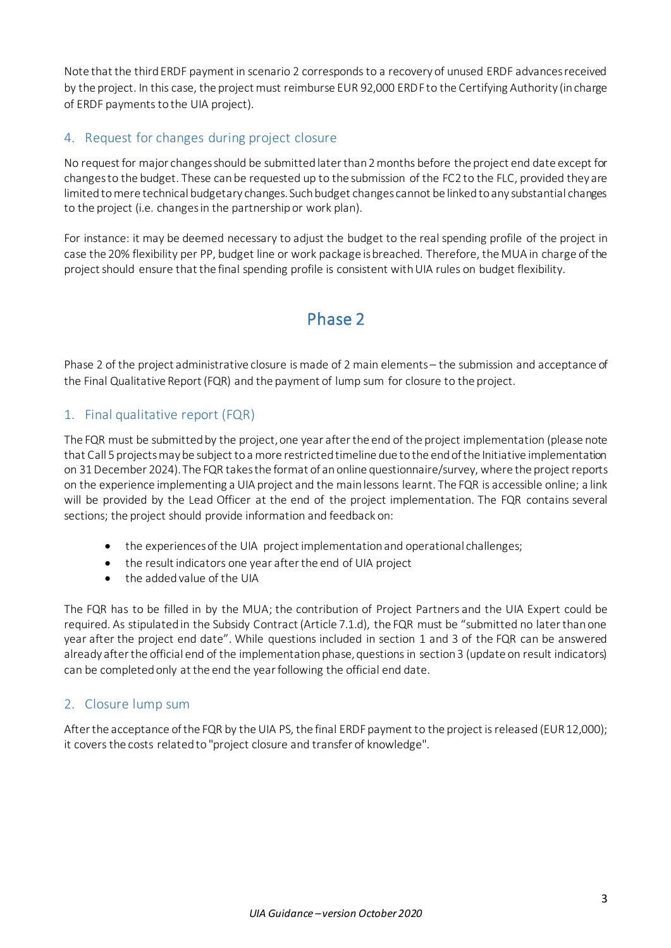Note that the third ERDF payment in scenario 2 corresponds to a recovery of unused ERDF advances received by the project. In this case, the project must reimburse EUR 92,000 ERDFto the Certifying Authority (in charge of ERDF payments to the UIA project).

#### <span id="page-2-0"></span>4. Request for changes during project closure

No request for major changes should be submitted later than 2 months before the project end date except for changesto the budget. These can be requested up to the submission of the FC2 to the FLC, provided they are limited to mere technical budgetary changes. Such budget changes cannot be linked to any substantial changes to the project (i.e. changes in the partnership or work plan).

For instance: it may be deemed necessary to adjust the budget to the real spending profile of the project in case the 20% flexibility per PP, budget line or work package is breached. Therefore, the MUA in charge of the project should ensure that the final spending profile is consistent with UIA rules on budget flexibility.

# Phase 2

<span id="page-2-1"></span>Phase 2 of the project administrative closure is made of 2 main elements – the submission and acceptance of the Final Qualitative Report (FQR) and the payment of lump sum for closure to the project.

#### <span id="page-2-2"></span>1. Final qualitative report (FQR)

The FQR must be submitted by the project, one year after the end of the project implementation (please note that Call 5 projects may be subject to a more restricted timeline due to the end of the Initiative implementation on 31 December 2024). The FQR takes the format of an online questionnaire/survey, where the project reports on the experience implementing a UIA project and the main lessons learnt. The FQR is accessible online; a link will be provided by the Lead Officer at the end of the project implementation. The FQR contains several sections; the project should provide information and feedback on:

- the experiences of the UIA project implementation and operational challenges;
- the result indicators one year after the end of UIA project
- the added value of the UIA

The FQR has to be filled in by the MUA; the contribution of Project Partners and the UIA Expert could be required. As stipulated in the Subsidy Contract (Article 7.1.d), the FQR must be "submitted no later than one year after the project end date". While questions included in section 1 and 3 of the FQR can be answered already after the official end of the implementation phase, questions in section 3 (update on result indicators) can be completed only at the end the year following the official end date.

#### <span id="page-2-3"></span>2. Closure lump sum

After the acceptance of the FQR by the UIA PS, the final ERDF payment to the project is released (EUR 12,000); it covers the costs related to "project closure and transfer of knowledge".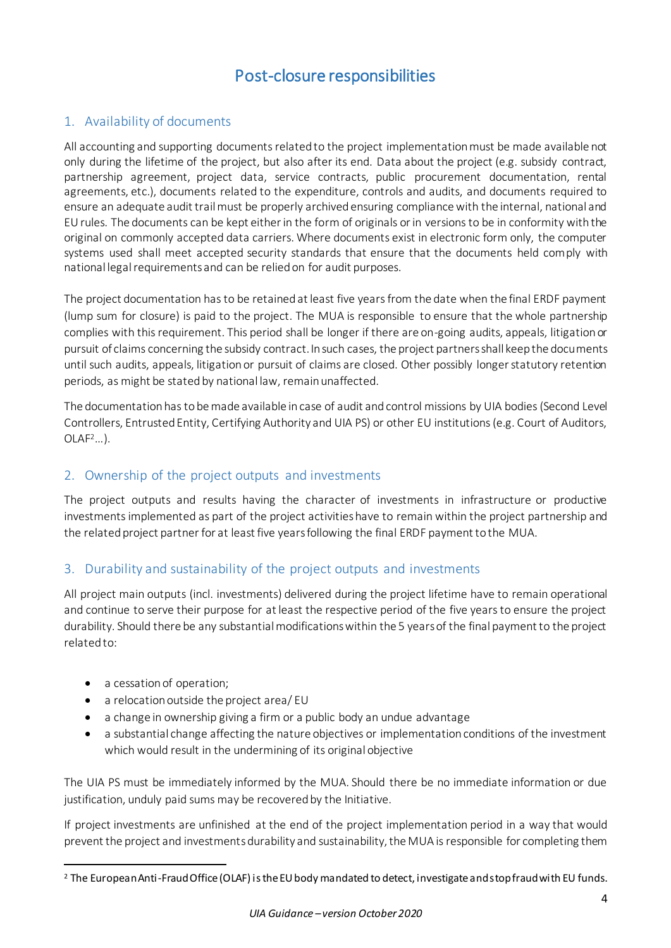# Post-closure responsibilities

### <span id="page-3-1"></span><span id="page-3-0"></span>1. Availability of documents

All accounting and supporting documents related to the project implementation must be made available not only during the lifetime of the project, but also after its end. Data about the project (e.g. subsidy contract, partnership agreement, project data, service contracts, public procurement documentation, rental agreements, etc.), documents related to the expenditure, controls and audits, and documents required to ensure an adequate audit trail must be properly archived ensuring compliance with the internal, national and EU rules. The documents can be kept either in the form of originals or in versions to be in conformity with the original on commonly accepted data carriers. Where documents exist in electronic form only, the computer systems used shall meet accepted security standards that ensure that the documents held comply with national legal requirements and can be relied on for audit purposes.

The project documentation has to be retained at least five years from the date when the final ERDF payment (lump sum for closure) is paid to the project. The MUA is responsible to ensure that the whole partnership complies with this requirement. This period shall be longer if there are on-going audits, appeals, litigation or pursuit of claims concerning the subsidy contract. In such cases, the project partners shall keep the documents until such audits, appeals, litigation or pursuit of claims are closed. Other possibly longer statutory retention periods, as might be stated by national law, remain unaffected.

The documentation has to be made available in case of audit and control missions by UIA bodies (Second Level Controllers, Entrusted Entity, Certifying Authority and UIA PS) or other EU institutions (e.g. Court of Auditors,  $OLAF<sup>2</sup>...$ ).

### <span id="page-3-2"></span>2. Ownership of the project outputs and investments

The project outputs and results having the character of investments in infrastructure or productive investments implemented as part of the project activities have to remain within the project partnership and the related project partner for at least five years following the final ERDF payment to the MUA.

#### <span id="page-3-3"></span>3. Durability and sustainability of the project outputs and investments

All project main outputs (incl. investments) delivered during the project lifetime have to remain operational and continue to serve their purpose for at least the respective period of the five years to ensure the project durability. Should there be any substantial modifications within the 5 years of the final payment to the project related to:

- a cessation of operation;
- a relocation outside the project area/ EU
- a change in ownership giving a firm or a public body an undue advantage
- a substantial change affecting the nature objectives or implementation conditions of the investment which would result in the undermining of its original objective

The UIA PS must be immediately informed by the MUA. Should there be no immediate information or due justification, unduly paid sums may be recovered by the Initiative.

If project investments are unfinished at the end of the project implementation period in a way that would prevent the project and investmentsdurability and sustainability, the MUA is responsible for completing them

<sup>1</sup> <sup>2</sup> The European Anti-Fraud Office (OLAF) is the EU body mandated to detect, investigate and stop fraud with EU funds.